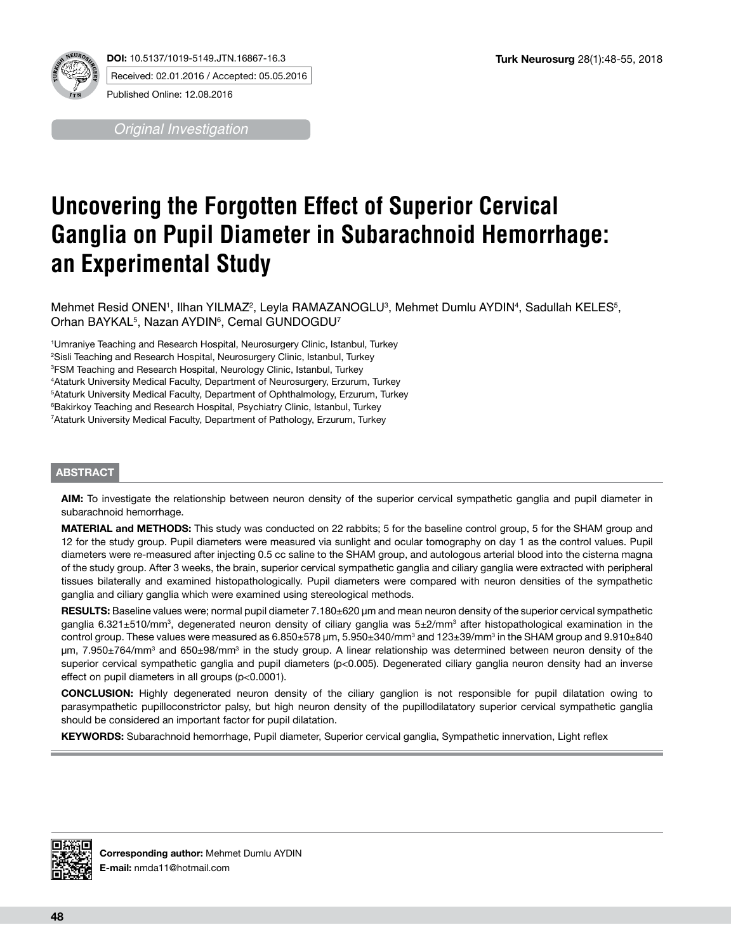

*Original Investigation*

# **Uncovering the Forgotten Effect of Superior Cervical Ganglia on Pupil Diameter in Subarachnoid Hemorrhage: an Experimental Study**

Mehmet Resid ONEN', Ilhan YILMAZ<sup>2</sup>, Leyla RAMAZANOGLU<sup>3</sup>, Mehmet Dumlu AYDIN<sup>4</sup>, Sadullah KELES<sup>5</sup>, Orhan BAYKAL $^5$ , Nazan AYDIN $^6$ , Cemal GUNDOGDU $^7$ 

 Umraniye Teaching and Research Hospital, Neurosurgery Clinic, Istanbul, Turkey Sisli Teaching and Research Hospital, Neurosurgery Clinic, Istanbul, Turkey FSM Teaching and Research Hospital, Neurology Clinic, Istanbul, Turkey Ataturk University Medical Faculty, Department of Neurosurgery, Erzurum, Turkey Ataturk University Medical Faculty, Department of Ophthalmology, Erzurum, Turkey Bakirkoy Teaching and Research Hospital, Psychiatry Clinic, Istanbul, Turkey Ataturk University Medical Faculty, Department of Pathology, Erzurum, Turkey

## **ABSTRACT**

**AIm:** To investigate the relationship between neuron density of the superior cervical sympathetic ganglia and pupil diameter in subarachnoid hemorrhage.

**MATERIAL and METHODS:** This study was conducted on 22 rabbits; 5 for the baseline control group, 5 for the SHAM group and 12 for the study group. Pupil diameters were measured via sunlight and ocular tomography on day 1 as the control values. Pupil diameters were re-measured after injecting 0.5 cc saline to the SHAM group, and autologous arterial blood into the cisterna magna of the study group. After 3 weeks, the brain, superior cervical sympathetic ganglia and ciliary ganglia were extracted with peripheral tissues bilaterally and examined histopathologically. Pupil diameters were compared with neuron densities of the sympathetic ganglia and ciliary ganglia which were examined using stereological methods.

**Results:** Baseline values were; normal pupil diameter 7.180±620 µm and mean neuron density of the superior cervical sympathetic ganglia 6.321±510/mm<sup>3</sup>, degenerated neuron density of ciliary ganglia was 5±2/mm<sup>3</sup> after histopathological examination in the control group. These values were measured as  $6.850\pm578$  µm,  $5.950\pm340/\text{mm}^3$  and 123 $\pm39/\text{mm}^3$  in the SHAM group and  $9.910\pm840$ µm, 7.950±764/mm<sup>3</sup> and 650±98/mm<sup>3</sup> in the study group. A linear relationship was determined between neuron density of the superior cervical sympathetic ganglia and pupil diameters (p<0.005). Degenerated ciliary ganglia neuron density had an inverse effect on pupil diameters in all groups (p<0.0001).

**ConclusIon:** Highly degenerated neuron density of the ciliary ganglion is not responsible for pupil dilatation owing to parasympathetic pupilloconstrictor palsy, but high neuron density of the pupillodilatatory superior cervical sympathetic ganglia should be considered an important factor for pupil dilatation.

**Keywords:** Subarachnoid hemorrhage, Pupil diameter, Superior cervical ganglia, Sympathetic innervation, Light reflex

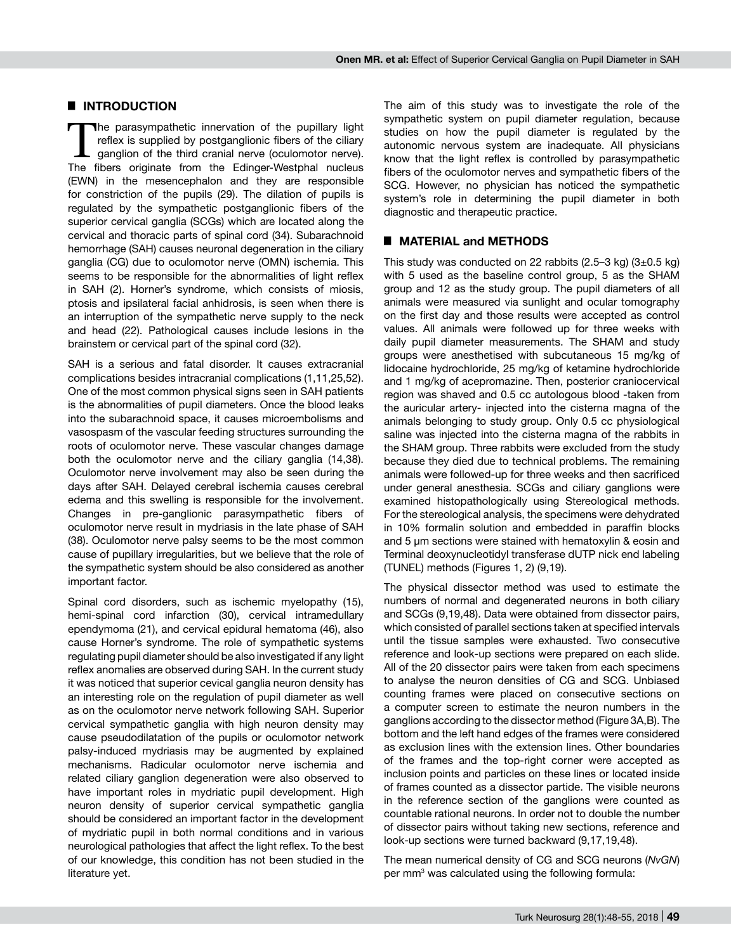#### █ **INTRODUCTION**

The parasympathetic innervation of the pupillary light reflex is supplied by postganglionic fibers of the ciliary ganglion of the third cranial nerve (oculomotor nerve).<br>The fibers criginate from the Edinger-Westphal pucku reflex is supplied by postganglionic fibers of the ciliary The fibers originate from the Edinger-Westphal nucleus (EWN) in the mesencephalon and they are responsible for constriction of the pupils (29). The dilation of pupils is regulated by the sympathetic postganglionic fibers of the superior cervical ganglia (SCGs) which are located along the cervical and thoracic parts of spinal cord (34). Subarachnoid hemorrhage (SAH) causes neuronal degeneration in the ciliary ganglia (CG) due to oculomotor nerve (OMN) ischemia. This seems to be responsible for the abnormalities of light reflex in SAH (2). Horner's syndrome, which consists of miosis, ptosis and ipsilateral facial anhidrosis, is seen when there is an interruption of the sympathetic nerve supply to the neck and head (22). Pathological causes include lesions in the brainstem or cervical part of the spinal cord (32).

SAH is a serious and fatal disorder. It causes extracranial complications besides intracranial complications (1,11,25,52). One of the most common physical signs seen in SAH patients is the abnormalities of pupil diameters. Once the blood leaks into the subarachnoid space, it causes microembolisms and vasospasm of the vascular feeding structures surrounding the roots of oculomotor nerve. These vascular changes damage both the oculomotor nerve and the ciliary ganglia (14,38). Oculomotor nerve involvement may also be seen during the days after SAH. Delayed cerebral ischemia causes cerebral edema and this swelling is responsible for the involvement. Changes in pre-ganglionic parasympathetic fibers of oculomotor nerve result in mydriasis in the late phase of SAH (38). Oculomotor nerve palsy seems to be the most common cause of pupillary irregularities, but we believe that the role of the sympathetic system should be also considered as another important factor.

Spinal cord disorders, such as ischemic myelopathy (15), hemi-spinal cord infarction (30), cervical intramedullary ependymoma (21), and cervical epidural hematoma (46), also cause Horner's syndrome. The role of sympathetic systems regulating pupil diameter should be also investigated if any light reflex anomalies are observed during SAH. In the current study it was noticed that superior cevical ganglia neuron density has an interesting role on the regulation of pupil diameter as well as on the oculomotor nerve network following SAH. Superior cervical sympathetic ganglia with high neuron density may cause pseudodilatation of the pupils or oculomotor network palsy-induced mydriasis may be augmented by explained mechanisms. Radicular oculomotor nerve ischemia and related ciliary ganglion degeneration were also observed to have important roles in mydriatic pupil development. High neuron density of superior cervical sympathetic ganglia should be considered an important factor in the development of mydriatic pupil in both normal conditions and in various neurological pathologies that affect the light reflex. To the best of our knowledge, this condition has not been studied in the literature yet.

The aim of this study was to investigate the role of the sympathetic system on pupil diameter regulation, because studies on how the pupil diameter is regulated by the autonomic nervous system are inadequate. All physicians know that the light reflex is controlled by parasympathetic fibers of the oculomotor nerves and sympathetic fibers of the SCG. However, no physician has noticed the sympathetic system's role in determining the pupil diameter in both diagnostic and therapeutic practice.

# █ **MATERIAL and METHODS**

This study was conducted on 22 rabbits  $(2.5-3 \text{ kg})$   $(3\pm0.5 \text{ kg})$ with 5 used as the baseline control group, 5 as the SHAM group and 12 as the study group. The pupil diameters of all animals were measured via sunlight and ocular tomography on the first day and those results were accepted as control values. All animals were followed up for three weeks with daily pupil diameter measurements. The SHAM and study groups were anesthetised with subcutaneous 15 mg/kg of lidocaine hydrochloride, 25 mg/kg of ketamine hydrochloride and 1 mg/kg of acepromazine. Then, posterior craniocervical region was shaved and 0.5 cc autologous blood -taken from the auricular artery- injected into the cisterna magna of the animals belonging to study group. Only 0.5 cc physiological saline was injected into the cisterna magna of the rabbits in the SHAM group. Three rabbits were excluded from the study because they died due to technical problems. The remaining animals were followed-up for three weeks and then sacrificed under general anesthesia. SCGs and ciliary ganglions were examined histopathologically using Stereological methods. For the stereological analysis, the specimens were dehydrated in 10% formalin solution and embedded in paraffin blocks and 5 µm sections were stained with hematoxylin & eosin and Terminal deoxynucleotidyl transferase dUTP nick end labeling (TUNEL) methods (Figures 1, 2) (9,19).

The physical dissector method was used to estimate the numbers of normal and degenerated neurons in both ciliary and SCGs (9,19,48). Data were obtained from dissector pairs, which consisted of parallel sections taken at specified intervals until the tissue samples were exhausted. Two consecutive reference and look-up sections were prepared on each slide. All of the 20 dissector pairs were taken from each specimens to analyse the neuron densities of CG and SCG. Unbiased counting frames were placed on consecutive sections on a computer screen to estimate the neuron numbers in the ganglions according to the dissector method (Figure 3A,B). The bottom and the left hand edges of the frames were considered as exclusion lines with the extension lines. Other boundaries of the frames and the top-right corner were accepted as inclusion points and particles on these lines or located inside of frames counted as a dissector partide. The visible neurons in the reference section of the ganglions were counted as countable rational neurons. In order not to double the number of dissector pairs without taking new sections, reference and look-up sections were turned backward (9,17,19,48).

The mean numerical density of CG and SCG neurons (*NvGN*) per mm<sup>3</sup> was calculated using the following formula: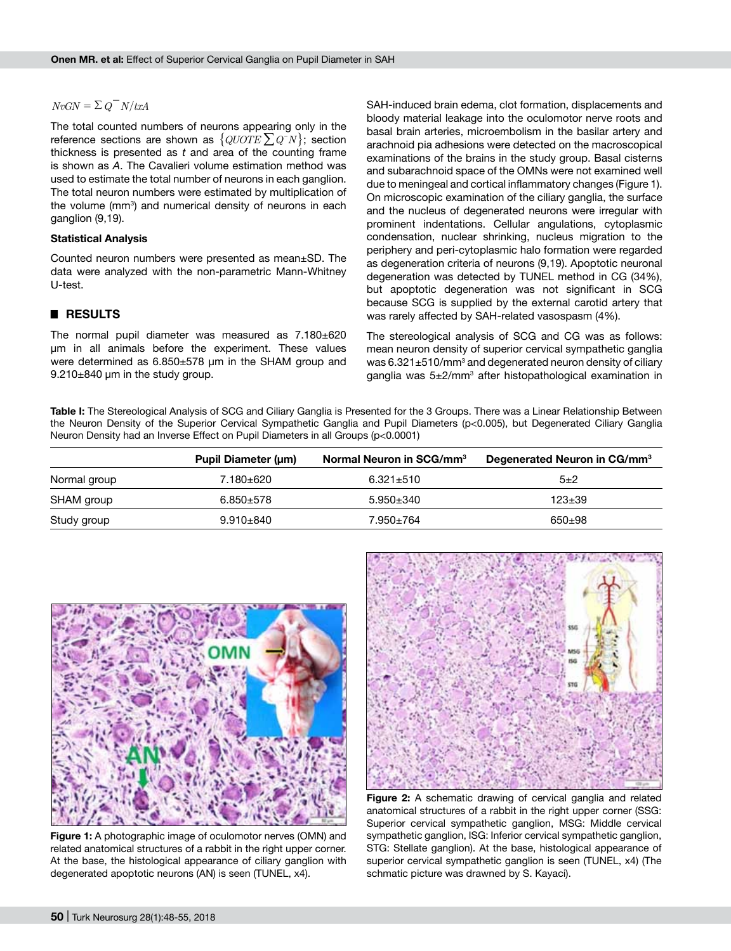## $NvGN = \sum Q^N/N/txA$

The total counted numbers of neurons appearing only in the reference sections are shown as  $\{QUOTE\sum Q^{-}N\}$ ; section thickness is presented as *t* and area of the counting frame is shown as *A*. The Cavalieri volume estimation method was used to estimate the total number of neurons in each ganglion. The total neuron numbers were estimated by multiplication of the volume (mm<sup>3</sup>) and numerical density of neurons in each ganglion (9,19).

#### **Statistical Analysis**

Counted neuron numbers were presented as mean±SD. The data were analyzed with the non-parametric Mann-Whitney U-test.

#### █ **RESULTS**

The normal pupil diameter was measured as 7.180±620 µm in all animals before the experiment. These values were determined as 6.850±578 µm in the SHAM group and 9.210±840 µm in the study group.

SAH-induced brain edema, clot formation, displacements and bloody material leakage into the oculomotor nerve roots and basal brain arteries, microembolism in the basilar artery and arachnoid pia adhesions were detected on the macroscopical examinations of the brains in the study group. Basal cisterns and subarachnoid space of the OMNs were not examined well due to meningeal and cortical inflammatory changes (Figure 1). On microscopic examination of the ciliary ganglia, the surface and the nucleus of degenerated neurons were irregular with prominent indentations. Cellular angulations, cytoplasmic condensation, nuclear shrinking, nucleus migration to the periphery and peri-cytoplasmic halo formation were regarded as degeneration criteria of neurons (9,19). Apoptotic neuronal degeneration was detected by TUNEL method in CG (34%), but apoptotic degeneration was not significant in SCG because SCG is supplied by the external carotid artery that was rarely affected by SAH-related vasospasm (4%).

The stereological analysis of SCG and CG was as follows: mean neuron density of superior cervical sympathetic ganglia was 6.321 $\pm$ 510/mm $^3$  and degenerated neuron density of ciliary ganglia was 5±2/mm<sup>3</sup> after histopathological examination in

**Table I:** The Stereological Analysis of SCG and Ciliary Ganglia is Presented for the 3 Groups. There was a Linear Relationship Between the Neuron Density of the Superior Cervical Sympathetic Ganglia and Pupil Diameters (p<0.005), but Degenerated Ciliary Ganglia Neuron Density had an Inverse Effect on Pupil Diameters in all Groups (p<0.0001)

|              | Pupil Diameter (um) | Normal Neuron in SCG/mm <sup>3</sup> | Degenerated Neuron in CG/mm <sup>3</sup> |
|--------------|---------------------|--------------------------------------|------------------------------------------|
| Normal group | 7.180±620           | $6.321 \pm 510$                      | $5+2$                                    |
| SHAM group   | $6.850 + 578$       | $5.950 \pm 340$                      | $123 + 39$                               |
| Study group  | $9.910 + 840$       | 7.950±764                            | 650±98                                   |



**Figure 1:** A photographic image of oculomotor nerves (OMN) and related anatomical structures of a rabbit in the right upper corner. At the base, the histological appearance of ciliary ganglion with degenerated apoptotic neurons (AN) is seen (TUNEL, x4).



**Figure 2:** A schematic drawing of cervical ganglia and related anatomical structures of a rabbit in the right upper corner (SSG: Superior cervical sympathetic ganglion, MSG: Middle cervical sympathetic ganglion, ISG: Inferior cervical sympathetic ganglion, STG: Stellate ganglion). At the base, histological appearance of superior cervical sympathetic ganglion is seen (TUNEL, x4) (The schmatic picture was drawned by S. Kayaci).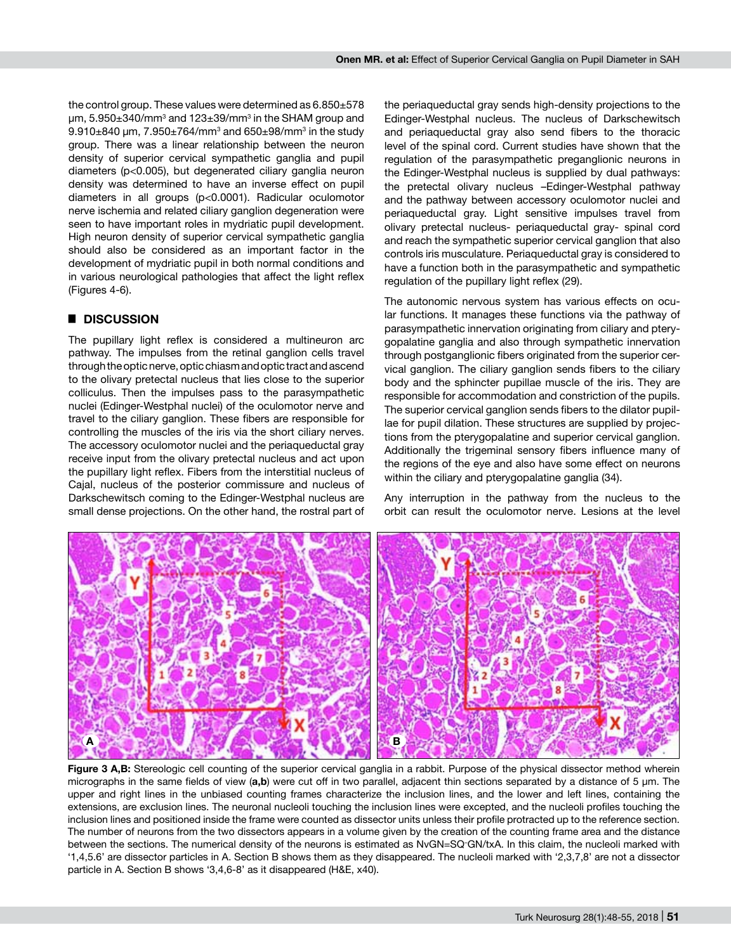the control group. These values were determined as  $6.850\pm578$ µm, 5.950±340/mm3 and 123±39/mm3 in the SHAM group and  $9.910\pm840$  µm,  $7.950\pm764/\text{mm}^3$  and  $650\pm98/\text{mm}^3$  in the study group. There was a linear relationship between the neuron density of superior cervical sympathetic ganglia and pupil diameters (p<0.005), but degenerated ciliary ganglia neuron density was determined to have an inverse effect on pupil diameters in all groups (p<0.0001). Radicular oculomotor nerve ischemia and related ciliary ganglion degeneration were seen to have important roles in mydriatic pupil development. High neuron density of superior cervical sympathetic ganglia should also be considered as an important factor in the development of mydriatic pupil in both normal conditions and in various neurological pathologies that affect the light reflex (Figures 4-6).

## █ **DISCUSSION**

The pupillary light reflex is considered a multineuron arc pathway. The impulses from the retinal ganglion cells travel through the optic nerve, optic chiasm and optic tract and ascend to the olivary pretectal nucleus that lies close to the superior colliculus. Then the impulses pass to the parasympathetic nuclei (Edinger-Westphal nuclei) of the oculomotor nerve and travel to the ciliary ganglion. These fibers are responsible for controlling the muscles of the iris via the short ciliary nerves. The accessory oculomotor nuclei and the periaqueductal gray receive input from the olivary pretectal nucleus and act upon the pupillary light reflex. Fibers from the interstitial nucleus of Cajal, nucleus of the posterior commissure and nucleus of Darkschewitsch coming to the Edinger-Westphal nucleus are small dense projections. On the other hand, the rostral part of the periaqueductal gray sends high-density projections to the Edinger-Westphal nucleus. The nucleus of Darkschewitsch and periaqueductal gray also send fibers to the thoracic level of the spinal cord. Current studies have shown that the regulation of the parasympathetic preganglionic neurons in the Edinger-Westphal nucleus is supplied by dual pathways: the pretectal olivary nucleus –Edinger-Westphal pathway and the pathway between accessory oculomotor nuclei and periaqueductal gray. Light sensitive impulses travel from olivary pretectal nucleus- periaqueductal gray- spinal cord and reach the sympathetic superior cervical ganglion that also controls iris musculature. Periaqueductal gray is considered to have a function both in the parasympathetic and sympathetic regulation of the pupillary light reflex (29).

The autonomic nervous system has various effects on ocular functions. It manages these functions via the pathway of parasympathetic innervation originating from ciliary and pterygopalatine ganglia and also through sympathetic innervation through postganglionic fibers originated from the superior cervical ganglion. The ciliary ganglion sends fibers to the ciliary body and the sphincter pupillae muscle of the iris. They are responsible for accommodation and constriction of the pupils. The superior cervical ganglion sends fibers to the dilator pupillae for pupil dilation. These structures are supplied by projections from the pterygopalatine and superior cervical ganglion. Additionally the trigeminal sensory fibers influence many of the regions of the eye and also have some effect on neurons within the ciliary and pterygopalatine ganglia (34).

Any interruption in the pathway from the nucleus to the orbit can result the oculomotor nerve. Lesions at the level



Figure 3 A,B: Stereologic cell counting of the superior cervical ganglia in a rabbit. Purpose of the physical dissector method wherein micrographs in the same fields of view (**a,b**) were cut off in two parallel, adjacent thin sections separated by a distance of 5 µm. The upper and right lines in the unbiased counting frames characterize the inclusion lines, and the lower and left lines, containing the extensions, are exclusion lines. The neuronal nucleoli touching the inclusion lines were excepted, and the nucleoli profiles touching the inclusion lines and positioned inside the frame were counted as dissector units unless their profile protracted up to the reference section. The number of neurons from the two dissectors appears in a volume given by the creation of the counting frame area and the distance between the sections. The numerical density of the neurons is estimated as NvGN=SQ– GN/txA. In this claim, the nucleoli marked with '1,4,5.6' are dissector particles in A. Section B shows them as they disappeared. The nucleoli marked with '2,3,7,8' are not a dissector particle in A. Section B shows '3,4,6-8' as it disappeared (H&E, x40).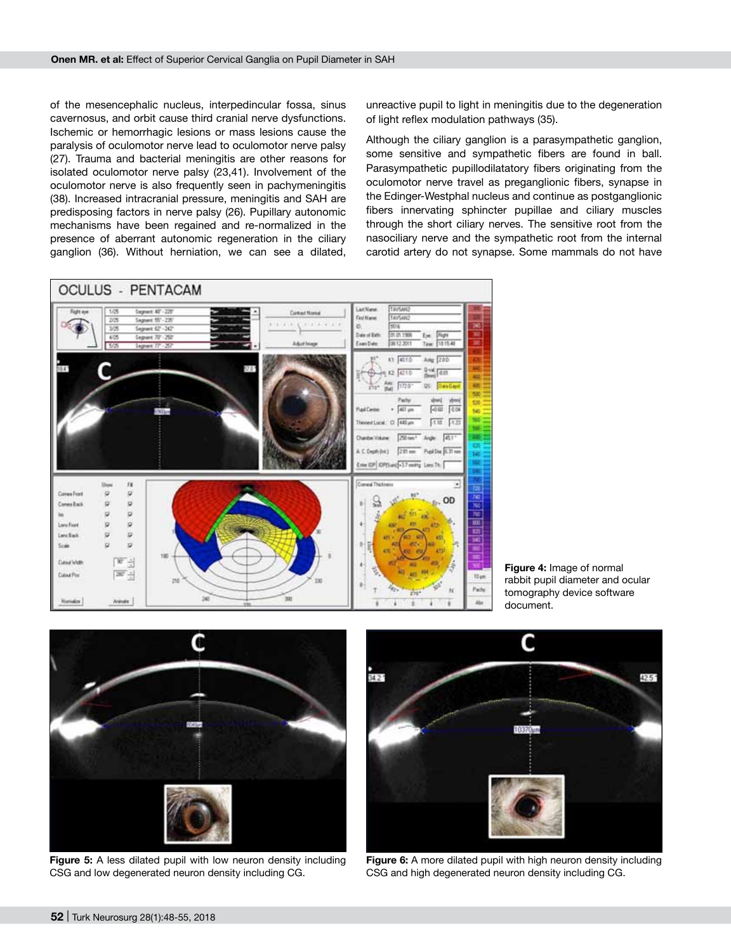of the mesencephalic nucleus, interpedincular fossa, sinus cavernosus, and orbit cause third cranial nerve dysfunctions. Ischemic or hemorrhagic lesions or mass lesions cause the paralysis of oculomotor nerve lead to oculomotor nerve palsy (27). Trauma and bacterial meningitis are other reasons for isolated oculomotor nerve palsy (23,41). Involvement of the oculomotor nerve is also frequently seen in pachymeningitis (38). Increased intracranial pressure, meningitis and SAH are predisposing factors in nerve palsy (26). Pupillary autonomic mechanisms have been regained and re-normalized in the presence of aberrant autonomic regeneration in the ciliary ganglion (36). Without herniation, we can see a dilated,

unreactive pupil to light in meningitis due to the degeneration of light reflex modulation pathways (35).

Although the ciliary ganglion is a parasympathetic ganglion, some sensitive and sympathetic fibers are found in ball. Parasympathetic pupillodilatatory fibers originating from the oculomotor nerve travel as preganglionic fibers, synapse in the Edinger-Westphal nucleus and continue as postganglionic fibers innervating sphincter pupillae and ciliary muscles through the short ciliary nerves. The sensitive root from the nasociliary nerve and the sympathetic root from the internal carotid artery do not synapse. Some mammals do not have



**Figure 4:** Image of normal rabbit pupil diameter and ocular tomography device software document.



**Figure 5:** A less dilated pupil with low neuron density including CSG and low degenerated neuron density including CG.



**Figure 6:** A more dilated pupil with high neuron density including CSG and high degenerated neuron density including CG.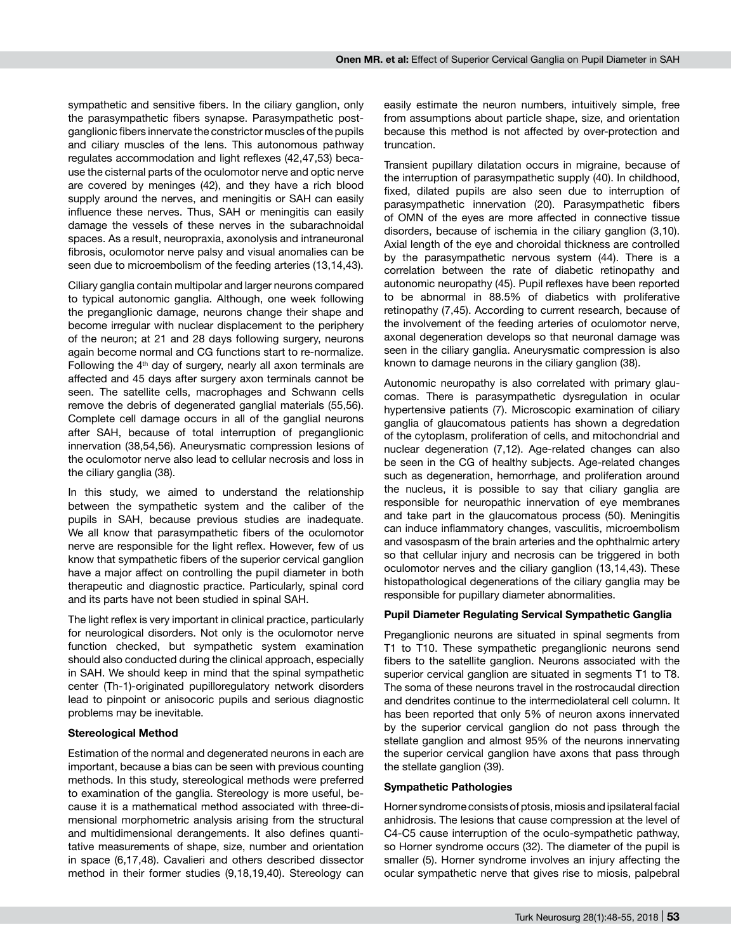sympathetic and sensitive fibers. In the ciliary ganglion, only the parasympathetic fibers synapse. Parasympathetic postganglionic fibers innervate the constrictor muscles of the pupils and ciliary muscles of the lens. This autonomous pathway regulates accommodation and light reflexes (42,47,53) because the cisternal parts of the oculomotor nerve and optic nerve are covered by meninges (42), and they have a rich blood supply around the nerves, and meningitis or SAH can easily influence these nerves. Thus, SAH or meningitis can easily damage the vessels of these nerves in the subarachnoidal spaces. As a result, neuropraxia, axonolysis and intraneuronal fibrosis, oculomotor nerve palsy and visual anomalies can be seen due to microembolism of the feeding arteries (13,14,43).

Ciliary ganglia contain multipolar and larger neurons compared to typical autonomic ganglia. Although, one week following the preganglionic damage, neurons change their shape and become irregular with nuclear displacement to the periphery of the neuron; at 21 and 28 days following surgery, neurons again become normal and CG functions start to re-normalize. Following the  $4<sup>th</sup>$  day of surgery, nearly all axon terminals are affected and 45 days after surgery axon terminals cannot be seen. The satellite cells, macrophages and Schwann cells remove the debris of degenerated ganglial materials (55,56). Complete cell damage occurs in all of the ganglial neurons after SAH, because of total interruption of preganglionic innervation (38,54,56). Aneurysmatic compression lesions of the oculomotor nerve also lead to cellular necrosis and loss in the ciliary ganglia (38).

In this study, we aimed to understand the relationship between the sympathetic system and the caliber of the pupils in SAH, because previous studies are inadequate. We all know that parasympathetic fibers of the oculomotor nerve are responsible for the light reflex. However, few of us know that sympathetic fibers of the superior cervical ganglion have a major affect on controlling the pupil diameter in both therapeutic and diagnostic practice. Particularly, spinal cord and its parts have not been studied in spinal SAH.

The light reflex is very important in clinical practice, particularly for neurological disorders. Not only is the oculomotor nerve function checked, but sympathetic system examination should also conducted during the clinical approach, especially in SAH. We should keep in mind that the spinal sympathetic center (Th-1)-originated pupilloregulatory network disorders lead to pinpoint or anisocoric pupils and serious diagnostic problems may be inevitable.

#### **Stereological Method**

Estimation of the normal and degenerated neurons in each are important, because a bias can be seen with previous counting methods. In this study, stereological methods were preferred to examination of the ganglia. Stereology is more useful, because it is a mathematical method associated with three-dimensional morphometric analysis arising from the structural and multidimensional derangements. It also defines quantitative measurements of shape, size, number and orientation in space (6,17,48). Cavalieri and others described dissector method in their former studies (9,18,19,40). Stereology can

easily estimate the neuron numbers, intuitively simple, free from assumptions about particle shape, size, and orientation because this method is not affected by over-protection and truncation.

Transient pupillary dilatation occurs in migraine, because of the interruption of parasympathetic supply (40). In childhood, fixed, dilated pupils are also seen due to interruption of parasympathetic innervation (20). Parasympathetic fibers of OMN of the eyes are more affected in connective tissue disorders, because of ischemia in the ciliary ganglion (3,10). Axial length of the eye and choroidal thickness are controlled by the parasympathetic nervous system (44). There is a correlation between the rate of diabetic retinopathy and autonomic neuropathy (45). Pupil reflexes have been reported to be abnormal in 88.5% of diabetics with proliferative retinopathy (7,45). According to current research, because of the involvement of the feeding arteries of oculomotor nerve, axonal degeneration develops so that neuronal damage was seen in the ciliary ganglia. Aneurysmatic compression is also known to damage neurons in the ciliary ganglion (38).

Autonomic neuropathy is also correlated with primary glaucomas. There is parasympathetic dysregulation in ocular hypertensive patients (7). Microscopic examination of ciliary ganglia of glaucomatous patients has shown a degredation of the cytoplasm, proliferation of cells, and mitochondrial and nuclear degeneration (7,12). Age-related changes can also be seen in the CG of healthy subjects. Age-related changes such as degeneration, hemorrhage, and proliferation around the nucleus, it is possible to say that ciliary ganglia are responsible for neuropathic innervation of eye membranes and take part in the glaucomatous process (50). Meningitis can induce inflammatory changes, vasculitis, microembolism and vasospasm of the brain arteries and the ophthalmic artery so that cellular injury and necrosis can be triggered in both oculomotor nerves and the ciliary ganglion (13,14,43). These histopathological degenerations of the ciliary ganglia may be responsible for pupillary diameter abnormalities.

#### **Pupil Diameter Regulating Servical Sympathetic Ganglia**

Preganglionic neurons are situated in spinal segments from T1 to T10. These sympathetic preganglionic neurons send fibers to the satellite ganglion. Neurons associated with the superior cervical ganglion are situated in segments T1 to T8. The soma of these neurons travel in the rostrocaudal direction and dendrites continue to the intermediolateral cell column. It has been reported that only 5% of neuron axons innervated by the superior cervical ganglion do not pass through the stellate ganglion and almost 95% of the neurons innervating the superior cervical ganglion have axons that pass through the stellate ganglion (39).

#### **Sympathetic Pathologies**

Horner syndrome consists of ptosis, miosis and ipsilateral facial anhidrosis. The lesions that cause compression at the level of C4-C5 cause interruption of the oculo-sympathetic pathway, so Horner syndrome occurs (32). The diameter of the pupil is smaller (5). Horner syndrome involves an injury affecting the ocular sympathetic nerve that gives rise to miosis, palpebral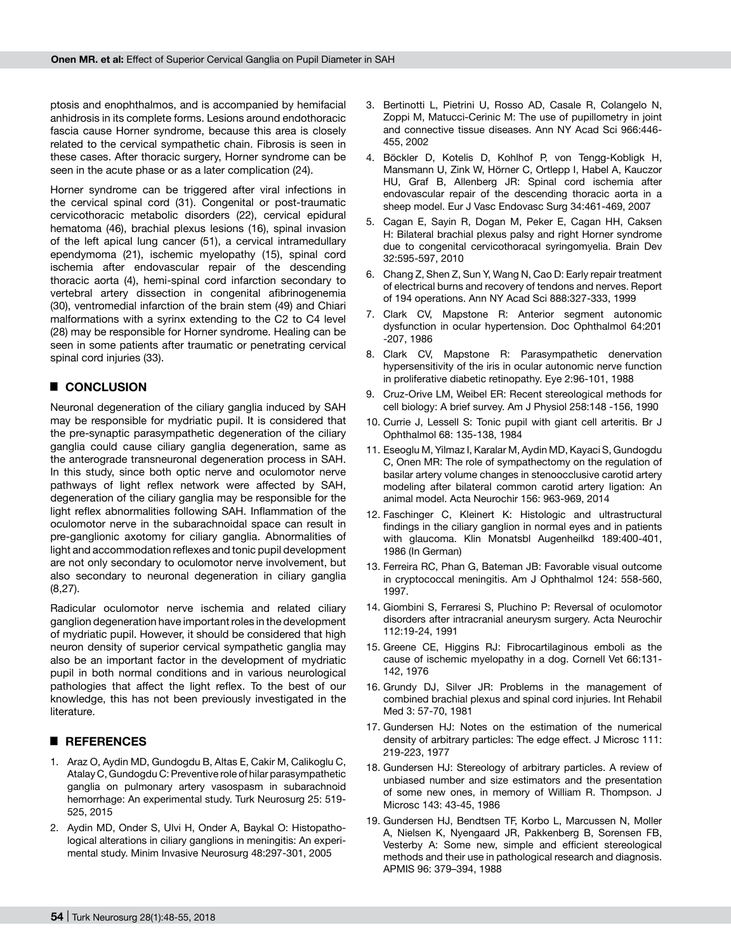ptosis and enophthalmos, and is accompanied by hemifacial anhidrosis in its complete forms. Lesions around endothoracic fascia cause Horner syndrome, because this area is closely related to the cervical sympathetic chain. Fibrosis is seen in these cases. After thoracic surgery, Horner syndrome can be seen in the acute phase or as a later complication (24).

Horner syndrome can be triggered after viral infections in the cervical spinal cord (31). Congenital or post-traumatic cervicothoracic metabolic disorders (22), cervical epidural hematoma (46), brachial plexus lesions (16), spinal invasion of the left apical lung cancer (51), a cervical intramedullary ependymoma (21), ischemic myelopathy (15), spinal cord ischemia after endovascular repair of the descending thoracic aorta (4), hemi-spinal cord infarction secondary to vertebral artery dissection in congenital afibrinogenemia (30), ventromedial infarction of the brain stem (49) and Chiari malformations with a syrinx extending to the C2 to C4 level (28) may be responsible for Horner syndrome. Healing can be seen in some patients after traumatic or penetrating cervical spinal cord injuries (33).

# █ **CONCLUSION**

Neuronal degeneration of the ciliary ganglia induced by SAH may be responsible for mydriatic pupil. It is considered that the pre-synaptic parasympathetic degeneration of the ciliary ganglia could cause ciliary ganglia degeneration, same as the anterograde transneuronal degeneration process in SAH. In this study, since both optic nerve and oculomotor nerve pathways of light reflex network were affected by SAH, degeneration of the ciliary ganglia may be responsible for the light reflex abnormalities following SAH. Inflammation of the oculomotor nerve in the subarachnoidal space can result in pre-ganglionic axotomy for ciliary ganglia. Abnormalities of light and accommodation reflexes and tonic pupil development are not only secondary to oculomotor nerve involvement, but also secondary to neuronal degeneration in ciliary ganglia (8,27).

Radicular oculomotor nerve ischemia and related ciliary ganglion degeneration have important roles in the development of mydriatic pupil. However, it should be considered that high neuron density of superior cervical sympathetic ganglia may also be an important factor in the development of mydriatic pupil in both normal conditions and in various neurological pathologies that affect the light reflex. To the best of our knowledge, this has not been previously investigated in the literature.

# █ **REFERENCES**

- 1. Araz O, Aydin MD, Gundogdu B, Altas E, Cakir M, Calikoglu C, Atalay C, Gundogdu C: Preventive role of hilar parasympathetic ganglia on pulmonary artery vasospasm in subarachnoid hemorrhage: An experimental study. Turk Neurosurg 25: 519- 525, 2015
- 2. Aydin MD, Onder S, Ulvi H, Onder A, Baykal O: Histopathological alterations in ciliary ganglions in meningitis: An experimental study. Minim Invasive Neurosurg 48:297-301, 2005
- 3. Bertinotti L, Pietrini U, Rosso AD, Casale R, Colangelo N, Zoppi M, Matucci-Cerinic M: The use of pupillometry in joint and connective tissue diseases. Ann NY Acad Sci 966:446- 455, 2002
- 4. Böckler D, Kotelis D, Kohlhof P, von Tengg-Kobligk H, Mansmann U, Zink W, Hörner C, Ortlepp I, Habel A, Kauczor HU, Graf B, Allenberg JR: Spinal cord ischemia after endovascular repair of the descending thoracic aorta in a sheep model. Eur J Vasc Endovasc Surg 34:461-469, 2007
- 5. Cagan E, Sayin R, Dogan M, Peker E, Cagan HH, Caksen H: Bilateral brachial plexus palsy and right Horner syndrome due to congenital cervicothoracal syringomyelia. Brain Dev 32:595-597, 2010
- 6. Chang Z, Shen Z, Sun Y, Wang N, Cao D: Early repair treatment of electrical burns and recovery of tendons and nerves. Report of 194 operations. Ann NY Acad Sci 888:327-333, 1999
- 7. Clark CV, Mapstone R: Anterior segment autonomic dysfunction in ocular hypertension. Doc Ophthalmol 64:201 -207, 1986
- 8. Clark CV, Mapstone R: Parasympathetic denervation hypersensitivity of the iris in ocular autonomic nerve function in proliferative diabetic retinopathy. Eye 2:96-101, 1988
- 9. Cruz-Orive LM, Weibel ER: Recent stereological methods for cell biology: A brief survey. Am J Physiol 258:148 -156, 1990
- 10. Currie J, Lessell S: Tonic pupil with giant cell arteritis. Br J Ophthalmol 68: 135-138, 1984
- 11. Eseoglu M, Yilmaz I, Karalar M, Aydin MD, Kayaci S, Gundogdu C, Onen MR: The role of sympathectomy on the regulation of basilar artery volume changes in stenoocclusive carotid artery modeling after bilateral common carotid artery ligation: An animal model. Acta Neurochir 156: 963-969, 2014
- 12. Faschinger C, Kleinert K: Histologic and ultrastructural findings in the ciliary ganglion in normal eyes and in patients with glaucoma. Klin Monatsbl Augenheilkd 189:400-401, 1986 (In German)
- 13. Ferreira RC, Phan G, Bateman JB: Favorable visual outcome in cryptococcal meningitis. Am J Ophthalmol 124: 558-560, 1997.
- 14. Giombini S, Ferraresi S, Pluchino P: Reversal of oculomotor disorders after intracranial aneurysm surgery. Acta Neurochir 112:19-24, 1991
- 15. Greene CE, Higgins RJ: Fibrocartilaginous emboli as the cause of ischemic myelopathy in a dog. Cornell Vet 66:131- 142, 1976
- 16. Grundy DJ, Silver JR: Problems in the management of combined brachial plexus and spinal cord injuries. Int Rehabil Med 3: 57-70, 1981
- 17. Gundersen HJ: Notes on the estimation of the numerical density of arbitrary particles: The edge effect. J Microsc 111: 219-223, 1977
- 18. Gundersen HJ: Stereology of arbitrary particles. A review of unbiased number and size estimators and the presentation of some new ones, in memory of William R. Thompson. J Microsc 143: 43-45, 1986
- 19. Gundersen HJ, Bendtsen TF, Korbo L, Marcussen N, Moller A, Nielsen K, Nyengaard JR, Pakkenberg B, Sorensen FB, Vesterby A: Some new, simple and efficient stereological methods and their use in pathological research and diagnosis. APMIS 96: 379–394, 1988